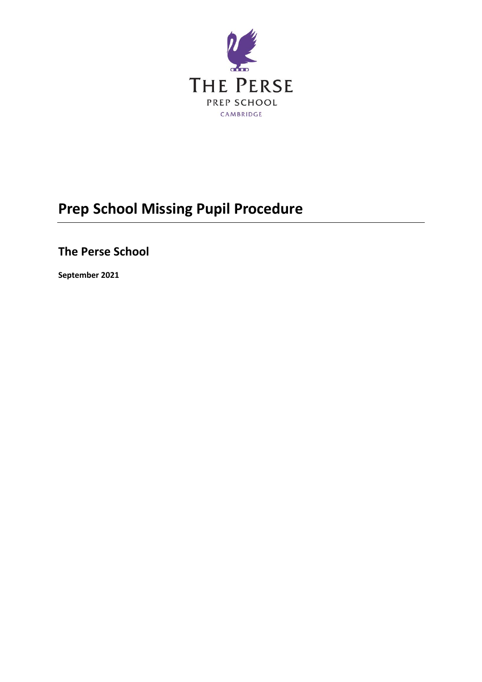

# **Prep School Missing Pupil Procedure**

# **The Perse School**

**September 2021**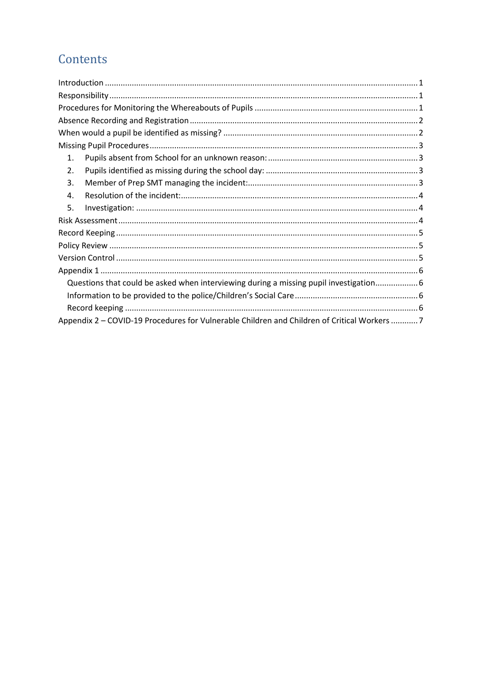# Contents

| 1.                                                                                          |
|---------------------------------------------------------------------------------------------|
| 2.                                                                                          |
| 3.                                                                                          |
| 4.                                                                                          |
| 5.                                                                                          |
|                                                                                             |
|                                                                                             |
|                                                                                             |
|                                                                                             |
|                                                                                             |
| Questions that could be asked when interviewing during a missing pupil investigation 6      |
|                                                                                             |
|                                                                                             |
| Appendix 2 – COVID-19 Procedures for Vulnerable Children and Children of Critical Workers 7 |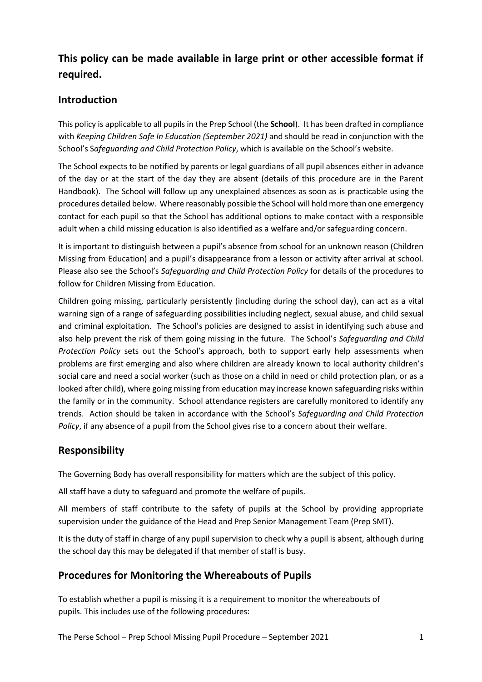## <span id="page-2-0"></span>**This policy can be made available in large print or other accessible format if required.**

## **Introduction**

This policy is applicable to all pupils in the Prep School (the **School**). It has been drafted in compliance with *Keeping Children Safe In Education (September 2021)* and should be read in conjunction with the School's S*afeguarding and Child Protection Policy*, which is available on the School's website.

The School expects to be notified by parents or legal guardians of all pupil absences either in advance of the day or at the start of the day they are absent (details of this procedure are in the Parent Handbook). The School will follow up any unexplained absences as soon as is practicable using the procedures detailed below. Where reasonably possible the School will hold more than one emergency contact for each pupil so that the School has additional options to make contact with a responsible adult when a child missing education is also identified as a welfare and/or safeguarding concern.

It is important to distinguish between a pupil's absence from school for an unknown reason (Children Missing from Education) and a pupil's disappearance from a lesson or activity after arrival at school. Please also see the School's *Safeguarding and Child Protection Policy* for details of the procedures to follow for Children Missing from Education.

Children going missing, particularly persistently (including during the school day), can act as a vital warning sign of a range of safeguarding possibilities including neglect, sexual abuse, and child sexual and criminal exploitation. The School's policies are designed to assist in identifying such abuse and also help prevent the risk of them going missing in the future. The School's *Safeguarding and Child Protection Policy* sets out the School's approach, both to support early help assessments when problems are first emerging and also where children are already known to local authority children's social care and need a social worker (such as those on a child in need or child protection plan, or as a looked after child), where going missing from education may increase known safeguarding risks within the family or in the community. School attendance registers are carefully monitored to identify any trends. Action should be taken in accordance with the School's *Safeguarding and Child Protection Policy*, if any absence of a pupil from the School gives rise to a concern about their welfare.

### <span id="page-2-1"></span>**Responsibility**

The Governing Body has overall responsibility for matters which are the subject of this policy.

All staff have a duty to safeguard and promote the welfare of pupils.

All members of staff contribute to the safety of pupils at the School by providing appropriate supervision under the guidance of the Head and Prep Senior Management Team (Prep SMT).

It is the duty of staff in charge of any pupil supervision to check why a pupil is absent, although during the school day this may be delegated if that member of staff is busy.

## <span id="page-2-2"></span>**Procedures for Monitoring the Whereabouts of Pupils**

To establish whether a pupil is missing it is a requirement to monitor the whereabouts of pupils. This includes use of the following procedures: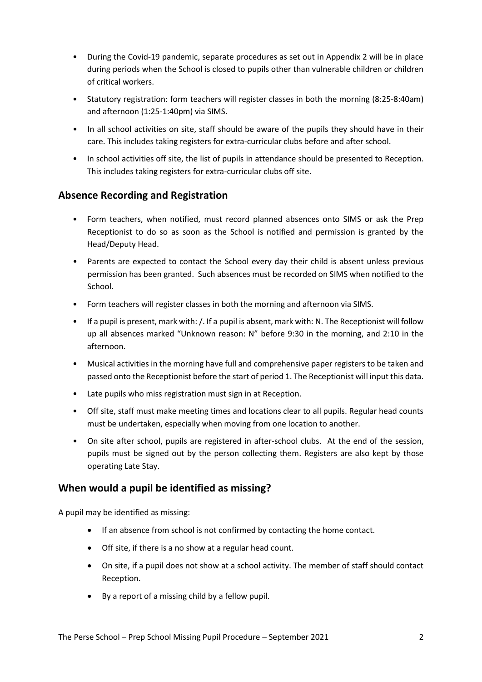- During the Covid-19 pandemic, separate procedures as set out in Appendix 2 will be in place during periods when the School is closed to pupils other than vulnerable children or children of critical workers.
- Statutory registration: form teachers will register classes in both the morning (8:25-8:40am) and afternoon (1:25-1:40pm) via SIMS.
- In all school activities on site, staff should be aware of the pupils they should have in their care. This includes taking registers for extra-curricular clubs before and after school.
- In school activities off site, the list of pupils in attendance should be presented to Reception. This includes taking registers for extra-curricular clubs off site.

## <span id="page-3-0"></span>**Absence Recording and Registration**

- Form teachers, when notified, must record planned absences onto SIMS or ask the Prep Receptionist to do so as soon as the School is notified and permission is granted by the Head/Deputy Head.
- Parents are expected to contact the School every day their child is absent unless previous permission has been granted. Such absences must be recorded on SIMS when notified to the School.
- Form teachers will register classes in both the morning and afternoon via SIMS.
- If a pupil is present, mark with: /. If a pupil is absent, mark with: N. The Receptionist will follow up all absences marked "Unknown reason: N" before 9:30 in the morning, and 2:10 in the afternoon.
- Musical activities in the morning have full and comprehensive paper registers to be taken and passed onto the Receptionist before the start of period 1. The Receptionist will input this data.
- Late pupils who miss registration must sign in at Reception.
- Off site, staff must make meeting times and locations clear to all pupils. Regular head counts must be undertaken, especially when moving from one location to another.
- On site after school, pupils are registered in after-school clubs. At the end of the session, pupils must be signed out by the person collecting them. Registers are also kept by those operating Late Stay.

### <span id="page-3-1"></span>**When would a pupil be identified as missing?**

A pupil may be identified as missing:

- If an absence from school is not confirmed by contacting the home contact.
- Off site, if there is a no show at a regular head count.
- On site, if a pupil does not show at a school activity. The member of staff should contact Reception.
- By a report of a missing child by a fellow pupil.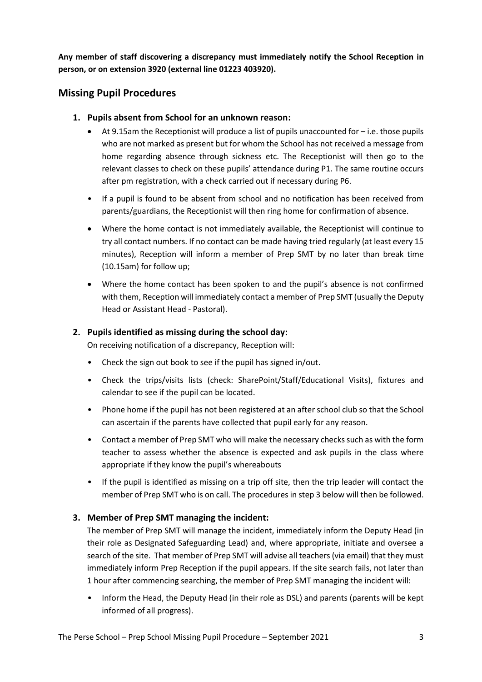**Any member of staff discovering a discrepancy must immediately notify the School Reception in person, or on extension 3920 (external line 01223 403920).**

## <span id="page-4-0"></span>**Missing Pupil Procedures**

- <span id="page-4-1"></span>**1. Pupils absent from School for an unknown reason:**
	- At 9.15am the Receptionist will produce a list of pupils unaccounted for  $-$  i.e. those pupils who are not marked as present but for whom the School has not received a message from home regarding absence through sickness etc. The Receptionist will then go to the relevant classes to check on these pupils' attendance during P1. The same routine occurs after pm registration, with a check carried out if necessary during P6.
	- If a pupil is found to be absent from school and no notification has been received from parents/guardians, the Receptionist will then ring home for confirmation of absence.
	- Where the home contact is not immediately available, the Receptionist will continue to try all contact numbers. If no contact can be made having tried regularly (at least every 15 minutes), Reception will inform a member of Prep SMT by no later than break time (10.15am) for follow up;
	- Where the home contact has been spoken to and the pupil's absence is not confirmed with them, Reception will immediately contact a member of Prep SMT (usually the Deputy Head or Assistant Head - Pastoral).

#### <span id="page-4-2"></span>**2. Pupils identified as missing during the school day:**

On receiving notification of a discrepancy, Reception will:

- Check the sign out book to see if the pupil has signed in/out.
- Check the trips/visits lists (check: SharePoint/Staff/Educational Visits), fixtures and calendar to see if the pupil can be located.
- Phone home if the pupil has not been registered at an after school club so that the School can ascertain if the parents have collected that pupil early for any reason.
- Contact a member of Prep SMT who will make the necessary checks such as with the form teacher to assess whether the absence is expected and ask pupils in the class where appropriate if they know the pupil's whereabouts
- If the pupil is identified as missing on a trip off site, then the trip leader will contact the member of Prep SMT who is on call. The procedures in step 3 below will then be followed.

#### <span id="page-4-3"></span>**3. Member of Prep SMT managing the incident:**

The member of Prep SMT will manage the incident, immediately inform the Deputy Head (in their role as Designated Safeguarding Lead) and, where appropriate, initiate and oversee a search of the site. That member of Prep SMT will advise all teachers (via email) that they must immediately inform Prep Reception if the pupil appears. If the site search fails, not later than 1 hour after commencing searching, the member of Prep SMT managing the incident will:

• Inform the Head, the Deputy Head (in their role as DSL) and parents (parents will be kept informed of all progress).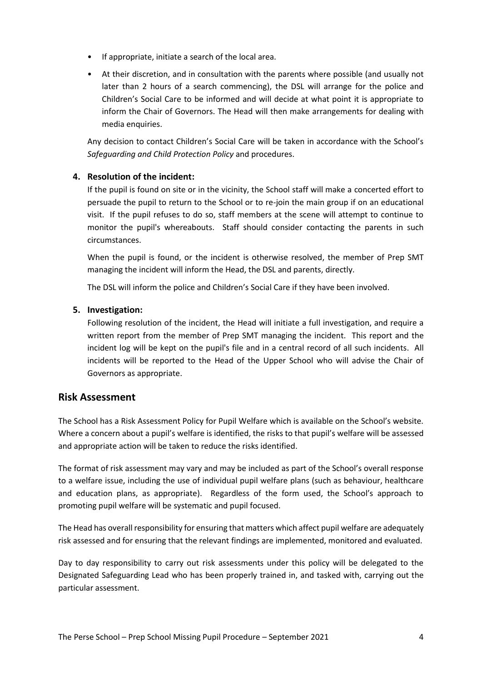- If appropriate, initiate a search of the local area.
- At their discretion, and in consultation with the parents where possible (and usually not later than 2 hours of a search commencing), the DSL will arrange for the police and Children's Social Care to be informed and will decide at what point it is appropriate to inform the Chair of Governors. The Head will then make arrangements for dealing with media enquiries.

Any decision to contact Children's Social Care will be taken in accordance with the School's *Safeguarding and Child Protection Policy* and procedures.

#### <span id="page-5-0"></span>**4. Resolution of the incident:**

If the pupil is found on site or in the vicinity, the School staff will make a concerted effort to persuade the pupil to return to the School or to re-join the main group if on an educational visit. If the pupil refuses to do so, staff members at the scene will attempt to continue to monitor the pupil's whereabouts. Staff should consider contacting the parents in such circumstances.

When the pupil is found, or the incident is otherwise resolved, the member of Prep SMT managing the incident will inform the Head, the DSL and parents, directly.

The DSL will inform the police and Children's Social Care if they have been involved.

#### <span id="page-5-1"></span>**5. Investigation:**

Following resolution of the incident, the Head will initiate a full investigation, and require a written report from the member of Prep SMT managing the incident. This report and the incident log will be kept on the pupil's file and in a central record of all such incidents. All incidents will be reported to the Head of the Upper School who will advise the Chair of Governors as appropriate.

#### <span id="page-5-2"></span>**Risk Assessment**

The School has a Risk Assessment Policy for Pupil Welfare which is available on the School's website. Where a concern about a pupil's welfare is identified, the risks to that pupil's welfare will be assessed and appropriate action will be taken to reduce the risks identified.

The format of risk assessment may vary and may be included as part of the School's overall response to a welfare issue, including the use of individual pupil welfare plans (such as behaviour, healthcare and education plans, as appropriate). Regardless of the form used, the School's approach to promoting pupil welfare will be systematic and pupil focused.

The Head has overall responsibility for ensuring that matters which affect pupil welfare are adequately risk assessed and for ensuring that the relevant findings are implemented, monitored and evaluated.

Day to day responsibility to carry out risk assessments under this policy will be delegated to the Designated Safeguarding Lead who has been properly trained in, and tasked with, carrying out the particular assessment.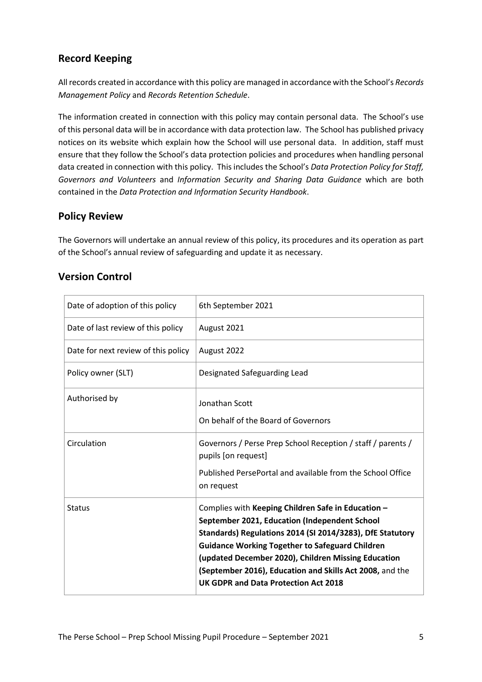## <span id="page-6-0"></span>**Record Keeping**

All records created in accordance with this policy are managed in accordance with the School's *Records Management Policy* and *Records Retention Schedule*.

The information created in connection with this policy may contain personal data. The School's use of this personal data will be in accordance with data protection law. The School has published privacy notices on its website which explain how the School will use personal data. In addition, staff must ensure that they follow the School's data protection policies and procedures when handling personal data created in connection with this policy. This includes the School's *Data Protection Policy for Staff, Governors and Volunteers* and *Information Security and Sharing Data Guidance* which are both contained in the *Data Protection and Information Security Handbook*.

## <span id="page-6-1"></span>**Policy Review**

The Governors will undertake an annual review of this policy, its procedures and its operation as part of the School's annual review of safeguarding and update it as necessary.

| Date of adoption of this policy     | 6th September 2021                                                                                                                                                                                                                                                                                                                                                                    |
|-------------------------------------|---------------------------------------------------------------------------------------------------------------------------------------------------------------------------------------------------------------------------------------------------------------------------------------------------------------------------------------------------------------------------------------|
| Date of last review of this policy  | August 2021                                                                                                                                                                                                                                                                                                                                                                           |
| Date for next review of this policy | August 2022                                                                                                                                                                                                                                                                                                                                                                           |
| Policy owner (SLT)                  | Designated Safeguarding Lead                                                                                                                                                                                                                                                                                                                                                          |
| Authorised by                       | Jonathan Scott                                                                                                                                                                                                                                                                                                                                                                        |
|                                     | On behalf of the Board of Governors                                                                                                                                                                                                                                                                                                                                                   |
| Circulation                         | Governors / Perse Prep School Reception / staff / parents /<br>pupils [on request]                                                                                                                                                                                                                                                                                                    |
|                                     | Published PersePortal and available from the School Office<br>on request                                                                                                                                                                                                                                                                                                              |
| <b>Status</b>                       | Complies with Keeping Children Safe in Education -<br>September 2021, Education (Independent School<br>Standards) Regulations 2014 (SI 2014/3283), DfE Statutory<br><b>Guidance Working Together to Safeguard Children</b><br>(updated December 2020), Children Missing Education<br>(September 2016), Education and Skills Act 2008, and the<br>UK GDPR and Data Protection Act 2018 |

## <span id="page-6-2"></span>**Version Control**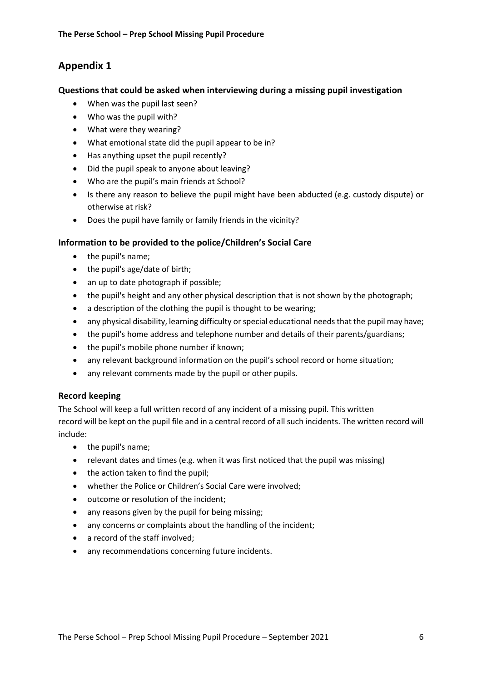## <span id="page-7-0"></span>**Appendix 1**

#### <span id="page-7-1"></span>**Questions that could be asked when interviewing during a missing pupil investigation**

- When was the pupil last seen?
- Who was the pupil with?
- What were they wearing?
- What emotional state did the pupil appear to be in?
- Has anything upset the pupil recently?
- Did the pupil speak to anyone about leaving?
- Who are the pupil's main friends at School?
- Is there any reason to believe the pupil might have been abducted (e.g. custody dispute) or otherwise at risk?
- Does the pupil have family or family friends in the vicinity?

#### <span id="page-7-2"></span>**Information to be provided to the police/Children's Social Care**

- the pupil's name;
- the pupil's age/date of birth;
- an up to date photograph if possible;
- the pupil's height and any other physical description that is not shown by the photograph;
- a description of the clothing the pupil is thought to be wearing;
- any physical disability, learning difficulty or special educational needs that the pupil may have;
- the pupil's home address and telephone number and details of their parents/guardians;
- the pupil's mobile phone number if known;
- any relevant background information on the pupil's school record or home situation;
- any relevant comments made by the pupil or other pupils.

#### <span id="page-7-3"></span>**Record keeping**

The School will keep a full written record of any incident of a missing pupil. This written record will be kept on the pupil file and in a central record of all such incidents. The written record will include:

- the pupil's name;
- relevant dates and times (e.g. when it was first noticed that the pupil was missing)
- the action taken to find the pupil;
- whether the Police or Children's Social Care were involved;
- outcome or resolution of the incident;
- any reasons given by the pupil for being missing;
- any concerns or complaints about the handling of the incident;
- a record of the staff involved;
- any recommendations concerning future incidents.